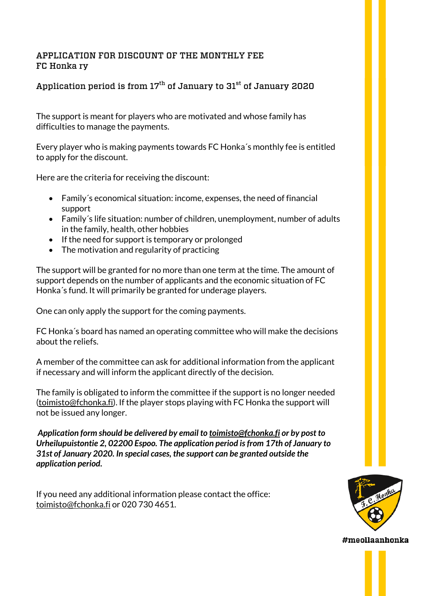### APPLICATION FOR DISCOUNT OF THE MONTHLY FEE FC Honka ry

# Application period is from  $17^{\text{th}}$  of January to  $31^{\text{st}}$  of January 2020

The support is meant for players who are motivated and whose family has difficulties to manage the payments.

Every player who is making payments towards FC Honka´s monthly fee is entitled to apply for the discount.

Here are the criteria for receiving the discount:

- Family´s economical situation: income, expenses, the need of financial support
- Family´s life situation: number of children, unemployment, number of adults in the family, health, other hobbies
- If the need for support is temporary or prolonged
- The motivation and regularity of practicing

The support will be granted for no more than one term at the time. The amount of support depends on the number of applicants and the economic situation of FC Honka´s fund. It will primarily be granted for underage players.

One can only apply the support for the coming payments.

FC Honka´s board has named an operating committee who will make the decisions about the reliefs.

A member of the committee can ask for additional information from the applicant if necessary and will inform the applicant directly of the decision.

The family is obligated to inform the committee if the support is no longer needed (toimisto@fchonka.fi). If the player stops playing with FC Honka the support will not be issued any longer.

*Application form should be delivered by email to toimisto@fchonka.fi or by post to Urheilupuistontie 2, 02200 Espoo. The application period is from 17th of January to 31st of January 2020. In special cases, the support can be granted outside the application period.*

If you need any additional information please contact the office: toimisto@fchonka.fi or 020 730 4651.

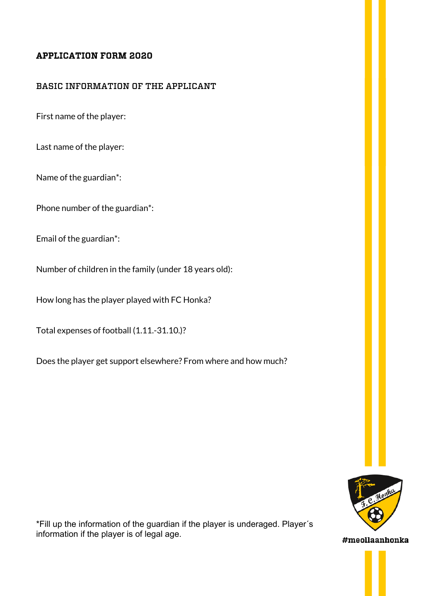## APPLICATION FORM 2020

#### BASIC INFORMATION OF THE APPLICANT

First name of the player:

Last name of the player:

Name of the guardian\*:

Phone number of the guardian\*:

Email of the guardian\*:

Number of children in the family (under 18 years old):

How long has the player played with FC Honka?

Total expenses of football (1.11.-31.10.)?

Does the player get support elsewhere? From where and how much?



\*Fill up the information of the guardian if the player is underaged. Player´s information if the player is of legal age.

#meollaanhonka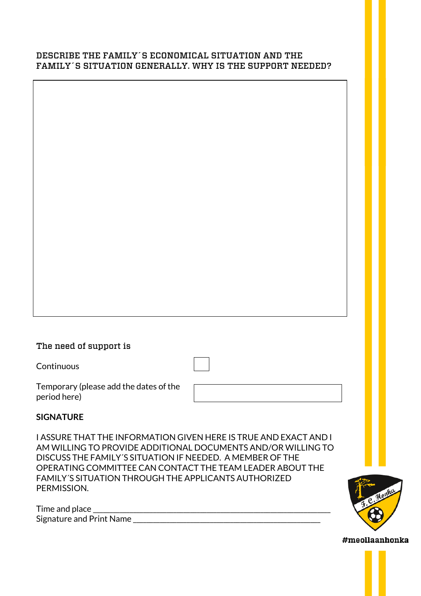#### DESCRIBE THE FAMILY´S ECONOMICAL SITUATION AND THE FAMILY´S SITUATION GENERALLY. WHY IS THE SUPPORT NEEDED?

| The need of support is |
|------------------------|
|                        |

Continuous

Temporary (please add the dates of the period here)

| ,我们也不会有什么?""我们的人,我们也不会有什么?""我们的人,我们也不会有什么?""我们的人,我们也不会有什么?""我们的人,我们也不会有什么?""我们的人 |  |  |
|----------------------------------------------------------------------------------|--|--|
|                                                                                  |  |  |
|                                                                                  |  |  |
|                                                                                  |  |  |
|                                                                                  |  |  |
|                                                                                  |  |  |
|                                                                                  |  |  |

## **SIGNATURE**

I ASSURE THAT THE INFORMATION GIVEN HERE IS TRUE AND EXACT AND I AM WILLING TO PROVIDE ADDITIONAL DOCUMENTS AND/OR WILLING TO DISCUSS THE FAMILY´S SITUATION IF NEEDED. A MEMBER OF THE OPERATING COMMITTEE CAN CONTACT THE TEAM LEADER ABOUT THE FAMILY´S SITUATION THROUGH THE APPLICANTS AUTHORIZED PERMISSION.

| Time and place           |  |
|--------------------------|--|
| Signature and Print Name |  |